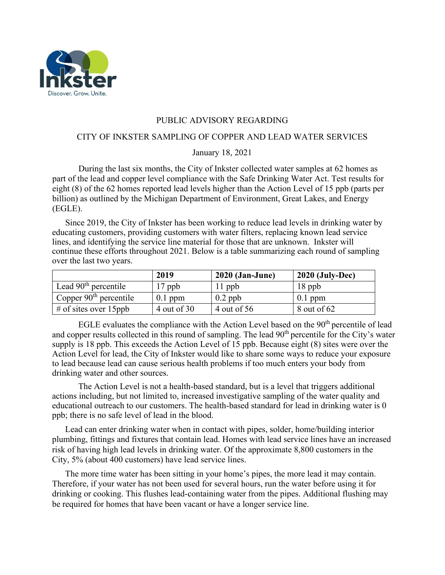

## PUBLIC ADVISORY REGARDING

## CITY OF INKSTER SAMPLING OF COPPER AND LEAD WATER SERVICES

## January 18, 2021

During the last six months, the City of Inkster collected water samples at 62 homes as part of the lead and copper level compliance with the Safe Drinking Water Act. Test results for eight (8) of the 62 homes reported lead levels higher than the Action Level of 15 ppb (parts per billion) as outlined by the Michigan Department of Environment, Great Lakes, and Energy (EGLE).

Since 2019, the City of Inkster has been working to reduce lead levels in drinking water by educating customers, providing customers with water filters, replacing known lead service lines, and identifying the service line material for those that are unknown. Inkster will continue these efforts throughout 2021. Below is a table summarizing each round of sampling over the last two years.

|                          | 2019          | $2020$ (Jan-June) | $2020$ (July-Dec) |
|--------------------------|---------------|-------------------|-------------------|
| Lead $90th$ percentile   | $17$ ppb      | $11$ ppb          | $18$ ppb          |
| Copper $90th$ percentile | $0.1$ ppm     | $0.2$ ppb         | $0.1$ ppm         |
| # of sites over $15$ ppb | 4 out of $30$ | 4 out of 56       | 8 out of 62       |

EGLE evaluates the compliance with the Action Level based on the  $90<sup>th</sup>$  percentile of lead and copper results collected in this round of sampling. The lead 90<sup>th</sup> percentile for the City's water supply is 18 ppb. This exceeds the Action Level of 15 ppb. Because eight (8) sites were over the Action Level for lead, the City of Inkster would like to share some ways to reduce your exposure to lead because lead can cause serious health problems if too much enters your body from drinking water and other sources.

The Action Level is not a health-based standard, but is a level that triggers additional actions including, but not limited to, increased investigative sampling of the water quality and educational outreach to our customers. The health-based standard for lead in drinking water is 0 ppb; there is no safe level of lead in the blood.

Lead can enter drinking water when in contact with pipes, solder, home/building interior plumbing, fittings and fixtures that contain lead. Homes with lead service lines have an increased risk of having high lead levels in drinking water. Of the approximate 8,800 customers in the City, 5% (about 400 customers) have lead service lines.

The more time water has been sitting in your home's pipes, the more lead it may contain. Therefore, if your water has not been used for several hours, run the water before using it for drinking or cooking. This flushes lead-containing water from the pipes. Additional flushing may be required for homes that have been vacant or have a longer service line.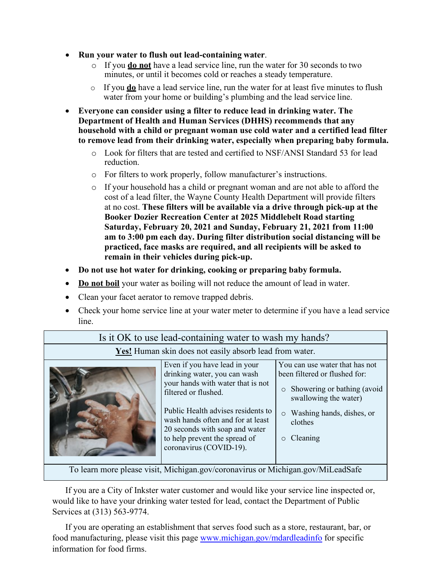- **Run your water to flush out lead-containing water**.
	- o If you **do not** have a lead service line, run the water for 30 seconds to two minutes, or until it becomes cold or reaches a steady temperature.
	- o If you **do** have a lead service line, run the water for at least five minutes to flush water from your home or building's plumbing and the lead service line.
- **Everyone can consider using a filter to reduce lead in drinking water. The Department of Health and Human Services (DHHS) recommends that any household with a child or pregnant woman use cold water and a certified lead filter to remove lead from their drinking water, especially when preparing baby formula.**
	- o Look for filters that are tested and certified to NSF/ANSI Standard 53 for lead reduction.
	- o For filters to work properly, follow manufacturer's instructions.
	- o If your household has a child or pregnant woman and are not able to afford the cost of a lead filter, the Wayne County Health Department will provide filters at no cost. **These filters will be available via a drive through pick-up at the Booker Dozier Recreation Center at 2025 Middlebelt Road starting Saturday, February 20, 2021 and Sunday, February 21, 2021 from 11:00 am to 3:00 pm each day. During filter distribution social distancing will be practiced, face masks are required, and all recipients will be asked to remain in their vehicles during pick-up.**
- **Do not use hot water for drinking, cooking or preparing baby formula.**
- **Do not boil** your water as boiling will not reduce the amount of lead in water.
- Clean your facet aerator to remove trapped debris.
- Check your home service line at your water meter to determine if you have a lead service line.

| <b>Yes!</b> Human skin does not easily absorb lead from water.                  |                                                                                                                                                                                                                                                                                                     |                                                                                                                                                                                        |  |  |
|---------------------------------------------------------------------------------|-----------------------------------------------------------------------------------------------------------------------------------------------------------------------------------------------------------------------------------------------------------------------------------------------------|----------------------------------------------------------------------------------------------------------------------------------------------------------------------------------------|--|--|
|                                                                                 | Even if you have lead in your<br>drinking water, you can wash<br>your hands with water that is not<br>filtered or flushed.<br>Public Health advises residents to<br>wash hands often and for at least<br>20 seconds with soap and water<br>to help prevent the spread of<br>coronavirus (COVID-19). | You can use water that has not<br>been filtered or flushed for:<br>Showering or bathing (avoid<br>$\circ$<br>swallowing the water)<br>Washing hands, dishes, or<br>clothes<br>Cleaning |  |  |
| To learn more please visit Michigan gov/coronavirus or Michigan gov/Mil eadSafe |                                                                                                                                                                                                                                                                                                     |                                                                                                                                                                                        |  |  |

Is it OK to use lead-containing water to wash my hands?

visit, Michigan.gov/coronavirus or Michiga

If you are a City of Inkster water customer and would like your service line inspected or, would like to have your drinking water tested for lead, contact the Department of Public Services at (313) 563-9774.

If you are operating an establishment that serves food such as a store, restaurant, bar, or food manufacturing, please visit this page [www.michigan.gov/mdardleadinfo](http://www.michigan.gov/mdardleadinfo) for specific information for food firms.